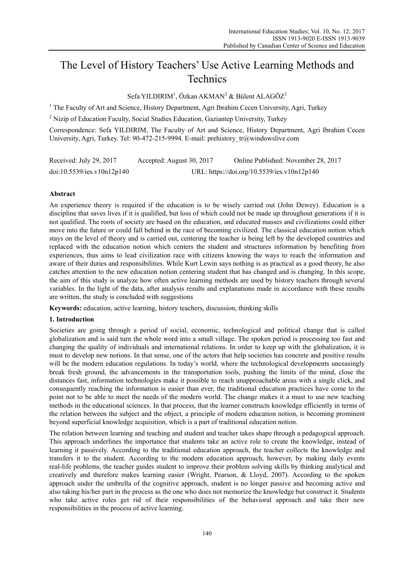# The Level of History Teachers' Use Active Learning Methods and **Technics**

Sefa YILDIRIM<sup>1</sup>, Özkan AKMAN<sup>2</sup> & Bülent ALAGÖZ<sup>2</sup>

<sup>1</sup> The Faculty of Art and Science, History Department, Agri Ibrahim Cecen University, Agri, Turkey

<sup>2</sup> Nizip of Education Faculty, Social Studies Education, Gaziantep University, Turkey

Correspondence: Sefa YILDIRIM, The Faculty of Art and Science, History Department, Agri Ibrahim Cecen University, Agri, Turkey. Tel: 90-472-215-9994. E-mail: prehistory\_tr@windowslive.com

| Received: July 29, 2017    | Accepted: August 30, 2017 | Online Published: November 28, 2017         |
|----------------------------|---------------------------|---------------------------------------------|
| doi:10.5539/ies.v10n12p140 |                           | URL: https://doi.org/10.5539/ies.v10n12p140 |

# **Abstract**

An experience theory is required if the education is to be wisely carried out (John Dewey). Education is a discipline that saves lives if it is qualified, but loss of which could not be made up throughout generations if it is not qualified. The roots of society are based on the education, and educated masses and civilizations could either move into the future or could fall behind in the race of becoming civilized. The classical education notion which stays on the level of theory and is carried out, centering the teacher is being left by the developed countries and replaced with the education notion which centers the student and structures information by benefiting from experiences, thus aims to lead civilization race with citizens knowing the ways to reach the information and aware of their duties and responsibilities. While Kurt Lewin says nothing is as practical as a good theory, he also catches attention to the new education notion centering student that has changed and is changing. In this scope, the aim of this study is analyze how often active learning methods are used by history teachers through several variables. In the light of the data, after analysis results and explanations made in accordance with these results are written, the study is concluded with suggestions

**Keywords:** education, active learning, history teachers, discussion, thinking skills

# **1. Introduction**

Societies are going through a period of social, economic, technological and political change that is called globalization and is said turn the whole word into a small village. The spoken period is processing too fast and changing the quality of individuals and international relations. In order to keep up with the globalization, it is must to develop new notions. In that sense, one of the actors that help societies has concrete and positive results will be the modern education regulations. In today's world, where the technological developments unceasingly break fresh ground, the advancements in the transportation tools, pushing the limits of the mind, close the distances fast, information technologies make it possible to reach unapproachable areas with a single click, and consequently reaching the information is easier than ever, the traditional education practices have come to the point not to be able to meet the needs of the modern world. The change makes it a must to use new teaching methods in the educational sciences. In that process, that the learner constructs knowledge efficiently in terms of the relation between the subject and the object, a principle of modern education notion, is becoming prominent beyond superficial knowledge acquisition, which is a part of traditional education notion.

The relation between learning and teaching and student and teacher takes shape through a pedagogical approach. This approach underlines the importance that students take an active role to create the knowledge, instead of learning it passively. According to the traditional education approach, the teacher collects the knowledge and transfers it to the student. According to the modern education approach, however, by making daily events real-life problems, the teacher guides student to improve their problem solving skills by thinking analytical and creatively and therefore makes learning easier (Wright, Pearson, & Lloyd, 2007). According to the spoken approach under the umbrella of the cognitive approach, student is no longer passive and becoming active and also taking his/her part in the process as the one who does not memorize the knowledge but construct it. Students who take active roles get rid of their responsibilities of the behavioral approach and take their new responsibilities in the process of active learning.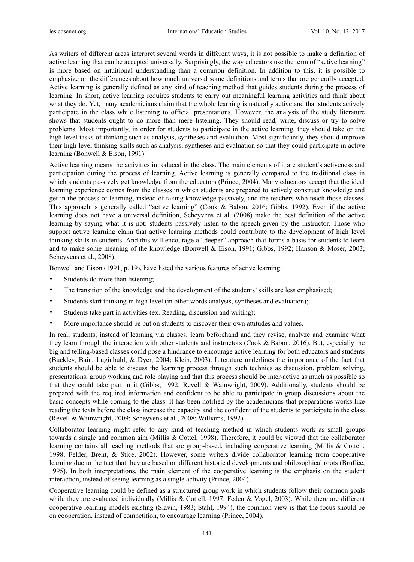As writers of different areas interpret several words in different ways, it is not possible to make a definition of active learning that can be accepted universally. Surprisingly, the way educators use the term of "active learning" is more based on intuitional understanding than a common definition. In addition to this, it is possible to emphasize on the differences about how much universal some definitions and terms that are generally accepted. Active learning is generally defined as any kind of teaching method that guides students during the process of learning. In short, active learning requires students to carry out meaningful learning activities and think about what they do. Yet, many academicians claim that the whole learning is naturally active and that students actively participate in the class while listening to official presentations. However, the analysis of the study literature shows that students ought to do more than mere listening. They should read, write, discuss or try to solve problems. Most importantly, in order for students to participate in the active learning, they should take on the high level tasks of thinking such as analysis, syntheses and evaluation. Most significantly, they should improve their high level thinking skills such as analysis, syntheses and evaluation so that they could participate in active learning (Bonwell & Eison, 1991).

Active learning means the activities introduced in the class. The main elements of it are student's activeness and participation during the process of learning. Active learning is generally compared to the traditional class in which students passively get knowledge from the educators (Prince, 2004). Many educators accept that the ideal learning experience comes from the classes in which students are prepared to actively construct knowledge and get in the process of learning, instead of taking knowledge passively, and the teachers who teach those classes. This approach is generally called "active learning" (Cook & Babon, 2016; Gibbs, 1992). Even if the active learning does not have a universal definition, Scheyvens et al. (2008) make the best definition of the active learning by saying what it is not: students passively listen to the speech given by the instructor. Those who support active learning claim that active learning methods could contribute to the development of high level thinking skills in students. And this will encourage a "deeper" approach that forms a basis for students to learn and to make some meaning of the knowledge (Bonwell & Eison, 1991; Gibbs, 1992; Hanson & Moser, 2003; Scheyvens et al., 2008).

Bonwell and Eison (1991, p. 19), have listed the various features of active learning:

- Students do more than listening;
- The transition of the knowledge and the development of the students' skills are less emphasized;
- Students start thinking in high level (in other words analysis, syntheses and evaluation);
- Students take part in activities (ex. Reading, discussion and writing);
- More importance should be put on students to discover their own attitudes and values.

In real, students, instead of learning via classes, learn beforehand and they revise, analyze and examine what they learn through the interaction with other students and instructors (Cook & Babon, 2016). But, especially the big and telling-based classes could pose a hindrance to encourage active learning for both educators and students (Buckley, Bain, Luginbuhl, & Dyer, 2004; Klein, 2003). Literature underlines the importance of the fact that students should be able to discuss the learning process through such technics as discussion, problem solving, presentations, group working and role playing and that this process should be inter-active as much as possible so that they could take part in it (Gibbs, 1992; Revell & Wainwright, 2009). Additionally, students should be prepared with the required information and confident to be able to participate in group discussions about the basic concepts while coming to the class. It has been notified by the academicians that preparations works like reading the texts before the class increase the capacity and the confident of the students to participate in the class (Revell & Wainwright, 2009; Scheyvens et al., 2008; Williams, 1992).

Collaborator learning might refer to any kind of teaching method in which students work as small groups towards a single and common aim (Millis & Cottel, 1998). Therefore, it could be viewed that the collaborator learning contains all teaching methods that are group-based, including cooperative learning (Millis & Cottell, 1998; Felder, Brent, & Stice, 2002). However, some writers divide collaborator learning from cooperative learning due to the fact that they are based on different historical developments and philosophical roots (Bruffee, 1995). In both interpretations, the main element of the cooperative learning is the emphasis on the student interaction, instead of seeing learning as a single activity (Prince, 2004).

Cooperative learning could be defined as a structured group work in which students follow their common goals while they are evaluated individually (Millis & Cottell, 1997; Feden & Vogel, 2003). While there are different cooperative learning models existing (Slavin, 1983; Stahl, 1994), the common view is that the focus should be on cooperation, instead of competition, to encourage learning (Prince, 2004).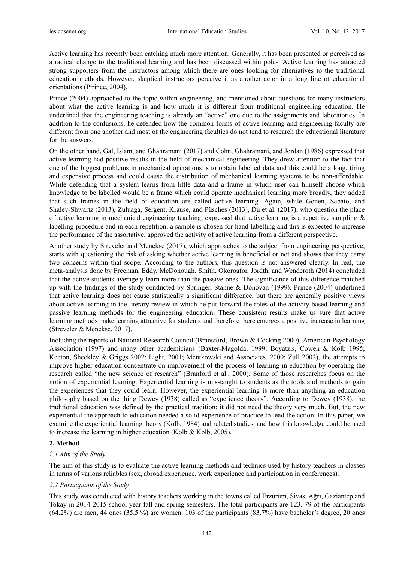Active learning has recently been catching much more attention. Generally, it has been presented or perceived as a radical change to the traditional learning and has been discussed within poles. Active learning has attracted strong supporters from the instructors among which there are ones looking for alternatives to the traditional education methods. However, skeptical instructors perceive it as another actor in a long line of educational orientations (Ptrince, 2004).

Prince (2004) approached to the topic within engineering, and mentioned about questions for many instructors about what the active learning is and how much it is different from traditional engineering education. He underlined that the engineering teaching is already an "active" one due to the assignments and laboratories. In addition to the confusions, he defended how the common forms of active learning and engineering faculty are different from one another and most of the engineering faculties do not tend to research the educational literature for the answers.

On the other hand, Gal, Islam, and Ghahramani (2017) and Cohn, Ghahramani, and Jordan (1986) expressed that active learning had positive results in the field of mechanical engineering. They drew attention to the fact that one of the biggest problems in mechanical operations is to obtain labelled data and this could be a long, tiring and expensive process and could cause the distribution of mechanical learning systems to be non-affordable. While defending that a system learns from little data and a frame in which user can himself choose which knowledge to be labelled would be a frame which could operate mechanical learning more broadly, they added that such frames in the field of education are called active learning. Again, while Gonen, Sabato, and Shalev-Shwartz (2013), Zuluaga, Sergent, Krause, and Püscheş (2013), Du et al. (2017), who question the place of active learning in mechanical engineering teaching, expressed that active learning is a repetitive sampling  $\&$ labelling procedure and in each repetition, a sample is chosen for hand-labelling and this is expected to increase the performance of the assortative, approved the activity of active learning from a different perspective.

Another study by Streveler and Menekse (2017), which approaches to the subject from engineering perspective, starts with questioning the risk of asking whether active learning is beneficial or not and shows that they carry two concerns within that scope. According to the authors, this question is not answered clearly. In real, the meta-analysis done by Freeman, Eddy, McDonough, Smith, Okoroafor, Jordth, and Wenderoth (2014) concluded that the active students averagely learn more than the passive ones. The significance of this difference matched up with the findings of the study conducted by Springer, Stanne & Donovan (1999). Prince (2004) underlined that active learning does not cause statistically a significant difference, but there are generally positive views about active learning in the literary review in which he put forward the roles of the activity-based learning and passive learning methods for the engineering education. These consistent results make us sure that active learning methods make learning attractive for students and therefore there emerges a positive increase in learning (Streveler & Menekse, 2017).

Including the reports of National Research Council (Bransford, Brown & Cocking 2000), American Psychology Association (1997) and many other academicians (Baxter-Magolda, 1999; Boyatzis, Cowen & Kolb 1995; Keeton, Sheckley & Griggs 2002; Light, 2001; Mentkowski and Associates, 2000; Zull 2002), the attempts to improve higher education concentrate on improvement of the process of learning in education by operating the research called "the new science of research" (Branford et al., 2000). Some of those researches focus on the notion of experiential learning. Experiential learning is mis-taught to students as the tools and methods to gain the experiences that they could learn. However, the experiential learning is more than anything an education philosophy based on the thing Dewey (1938) called as "experience theory". According to Dewey (1938), the traditional education was defined by the practical tradition; it did not need the theory very much. But, the new experiential the approach to education needed a solid experience of practice to lead the action. In this paper, we examine the experiential learning theory (Kolb, 1984) and related studies, and how this knowledge could be used to increase the learning in higher education (Kolb & Kolb, 2005).

#### **2. Method**

## *2.1 Aim of the Study*

The aim of this study is to evaluate the active learning methods and technics used by history teachers in classes in terms of various reliables (sex, abroad experience, work experience and participation in conferences).

#### *2.2 Participants of the Study*

This study was conducted with history teachers working in the towns called Erzurum, Sivas, Ağrı, Gaziantep and Tokay in 2014-2015 school year fall and spring semesters. The total participants are 123. 79 of the participants (64.2%) are men, 44 ones (35.5 %) are women. 103 of the participants (83.7%) have bachelor's degree, 20 ones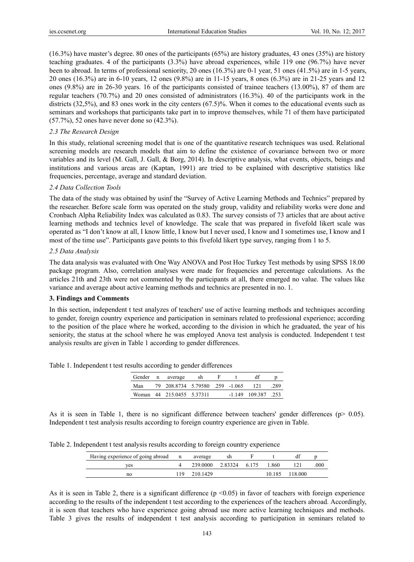(16.3%) have master's degree. 80 ones of the participants (65%) are history graduates, 43 ones (35%) are history teaching graduates. 4 of the participants (3.3%) have abroad experiences, while 119 one (96.7%) have never been to abroad. In terms of professional seniority, 20 ones (16.3%) are 0-1 year, 51 ones (41.5%) are in 1-5 years, 20 ones (16.3%) are in 6-10 years, 12 ones (9.8%) are in 11-15 years, 8 ones (6.3%) are in 21-25 years and 12 ones (9.8%) are in 26-30 years. 16 of the participants consisted of trainee teachers (13.00%), 87 of them are regular teachers (70.7%) and 20 ones consisted of administrators (16.3%). 40 of the participants work in the districts (32,5%), and 83 ones work in the city centers (67.5)%. When it comes to the educational events such as seminars and workshops that participants take part in to improve themselves, while 71 of them have participated (57.7%), 52 ones have never done so (42.3%).

## *2.3 The Research Design*

In this study, relational screening model that is one of the quantitative research techniques was used. Relational screening models are research models that aim to define the existence of covariance between two or more variables and its level (M. Gall, J. Gall, & Borg, 2014). In descriptive analysis, what events, objects, beings and institutions and various areas are (Kaptan, 1991) are tried to be explained with descriptive statistics like frequencies, percentage, average and standard deviation.

## *2.4 Data Collection Tools*

The data of the study was obtained by usinf the "Survey of Active Learning Methods and Technics" prepared by the researcher. Before scale form was operated on the study group, validity and reliability works were done and Cronbach Alpha Reliability Index was calculated as 0.83. The survey consists of 73 articles that are about active learning methods and technics level of knowledge. The scale that was prepared in fivefold likert scale was operated as "I don't know at all, I know little, I know but I never used, I know and I sometimes use, I know and I most of the time use". Participants gave points to this fivefold likert type survey, ranging from 1 to 5.

#### *2.5 Data Analysis*

The data analysis was evaluated with One Way ANOVA and Post Hoc Turkey Test methods by using SPSS 18.00 package program. Also, correlation analyses were made for frequencies and percentage calculations. As the articles 21th and 23th were not commented by the participants at all, there emerged no value. The values like variance and average about active learning methods and technics are presented in no. 1.

### **3. Findings and Comments**

In this section, independent t test analyzes of teachers' use of active learning methods and techniques according to gender, foreign country experience and participation in seminars related to professional experience; according to the position of the place where he worked, according to the division in which he graduated, the year of his seniority, the status at the school where he was employed Anova test analysis is conducted. Independent t test analysis results are given in Table 1 according to gender differences.

Table 1. Independent t test results according to gender differences

|     | Gender n average                | sh |  | df.                  |      |
|-----|---------------------------------|----|--|----------------------|------|
| Man | 79 208.8734 5.79580 .259 -1.065 |    |  | 121                  | .289 |
|     | Woman 44 215,0455 5.37311       |    |  | $-1.149$ 109.387 253 |      |

As it is seen in Table 1, there is no significant difference between teachers' gender differences ( $p$  $> 0.05$ ). Independent t test analysis results according to foreign country experience are given in Table.

Table 2. Independent t test analysis results according to foreign country experience

| Having experience of going abroad | n  | average  | sh      |       |        |         |      |
|-----------------------------------|----|----------|---------|-------|--------|---------|------|
| ves                               |    | 239,0000 | 2.83324 | 6.175 | .860   |         | .000 |
| no                                | 19 | 210.1429 |         |       | 10 185 | 118 000 |      |

As it is seen in Table 2, there is a significant difference  $(p \le 0.05)$  in favor of teachers with foreign experience according to the results of the independent t test according to the experiences of the teachers abroad. Accordingly, it is seen that teachers who have experience going abroad use more active learning techniques and methods. Table 3 gives the results of independent t test analysis according to participation in seminars related to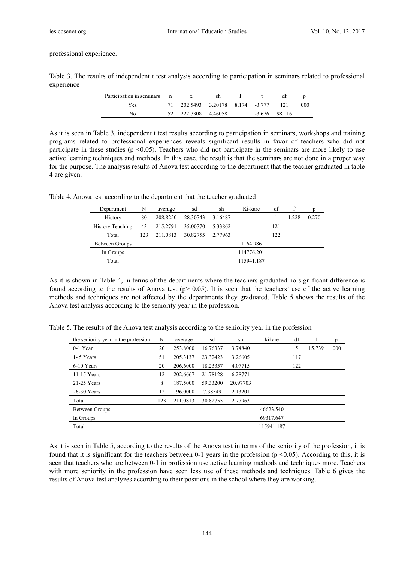professional experience.

Table 3. The results of independent t test analysis according to participation in seminars related to professional experience

| Participation in seminars n |                  |                               |         |        |      |
|-----------------------------|------------------|-------------------------------|---------|--------|------|
| Yes                         |                  | 202.5493 3.20178 8.174 -3.777 |         | 121    | .000 |
| N٥                          | 222.7308 4.46058 |                               | $-3676$ | 98 116 |      |

As it is seen in Table 3, independent t test results according to participation in seminars, workshops and training programs related to professional experiences reveals significant results in favor of teachers who did not participate in these studies ( $p \le 0.05$ ). Teachers who did not participate in the seminars are more likely to use active learning techniques and methods. In this case, the result is that the seminars are not done in a proper way for the purpose. The analysis results of Anova test according to the department that the teacher graduated in table 4 are given.

Table 4. Anova test according to the department that the teacher graduated

| Department              | N   | average  | sd       | sh      | Ki-kare    | df  | f     | p     |
|-------------------------|-----|----------|----------|---------|------------|-----|-------|-------|
| History                 | 80  | 208.8250 | 28.30743 | 3.16487 |            |     | 1.228 | 0.270 |
| <b>History Teaching</b> | 43  | 215.2791 | 35,00770 | 5.33862 |            | 121 |       |       |
| Total                   | 123 | 211.0813 | 30.82755 | 2.77963 |            | 122 |       |       |
| Between Groups          |     |          |          |         | 1164.986   |     |       |       |
| In Groups               |     |          |          |         | 114776.201 |     |       |       |
| Total                   |     |          |          |         | 115941.187 |     |       |       |
|                         |     |          |          |         |            |     |       |       |

As it is shown in Table 4, in terms of the departments where the teachers graduated no significant difference is found according to the results of Anova test ( $p$  > 0.05). It is seen that the teachers' use of the active learning methods and techniques are not affected by the departments they graduated. Table 5 shows the results of the Anova test analysis according to the seniority year in the profession.

|  |  |  |  |  |  |  | Table 5. The results of the Anova test analysis according to the seniority year in the profession |
|--|--|--|--|--|--|--|---------------------------------------------------------------------------------------------------|
|--|--|--|--|--|--|--|---------------------------------------------------------------------------------------------------|

| the seniority year in the profession | N   | average  | sd       | sh       | kikare     | df  | f      | p    |
|--------------------------------------|-----|----------|----------|----------|------------|-----|--------|------|
| 0-1 Year                             | 20  | 253.8000 | 16.76337 | 3.74840  |            | 5   | 15.739 | .000 |
| 1-5 Years                            | 51  | 205.3137 | 23.32423 | 3.26605  |            | 117 |        |      |
| 6-10 Years                           | 20  | 206.6000 | 18.23357 | 4.07715  |            | 122 |        |      |
| $11-15$ Years                        | 12  | 202.6667 | 21.78128 | 6.28771  |            |     |        |      |
| 21-25 Years                          | 8   | 187.5000 | 59.33200 | 20.97703 |            |     |        |      |
| $26-30$ Years                        | 12  | 196.0000 | 7.38549  | 2.13201  |            |     |        |      |
| Total                                | 123 | 211.0813 | 30.82755 | 2.77963  |            |     |        |      |
| Between Groups                       |     |          |          |          | 46623.540  |     |        |      |
| In Groups                            |     |          |          |          | 69317.647  |     |        |      |
| Total                                |     |          |          |          | 115941.187 |     |        |      |

As it is seen in Table 5, according to the results of the Anova test in terms of the seniority of the profession, it is found that it is significant for the teachers between 0-1 years in the profession ( $p \le 0.05$ ). According to this, it is seen that teachers who are between 0-1 in profession use active learning methods and techniques more. Teachers with more seniority in the profession have seen less use of these methods and techniques. Table 6 gives the results of Anova test analyzes according to their positions in the school where they are working.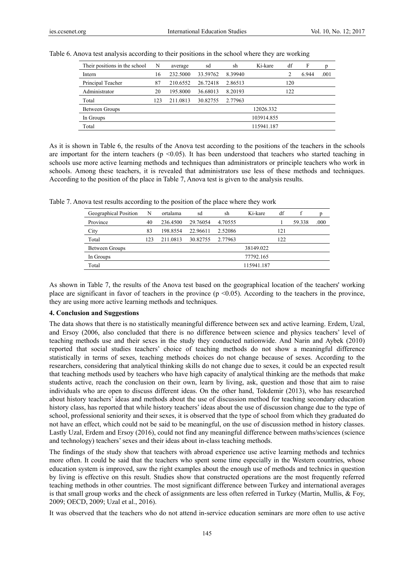| Their positions in the school | N   | average  | sd       | sh      | Ki-kare    | df  | F     | p    |
|-------------------------------|-----|----------|----------|---------|------------|-----|-------|------|
| Intern                        | 16  | 232.5000 | 33.59762 | 8.39940 |            |     | 6.944 | .001 |
| Principal Teacher             | 87  | 210.6552 | 26.72418 | 2.86513 |            | 120 |       |      |
| Administrator                 | 20  | 195.8000 | 36.68013 | 8.20193 |            | 122 |       |      |
| Total                         | 123 | 211.0813 | 30.82755 | 2.77963 |            |     |       |      |
| Between Groups                |     |          |          |         | 12026.332  |     |       |      |
| In Groups                     |     |          |          |         | 103914.855 |     |       |      |
| Total                         |     |          |          |         | 115941.187 |     |       |      |

Table 6. Anova test analysis according to their positions in the school where they are working

As it is shown in Table 6, the results of the Anova test according to the positions of the teachers in the schools are important for the intern teachers ( $p \le 0.05$ ). It has been understood that teachers who started teaching in schools use more active learning methods and techniques than administrators or principle teachers who work in schools. Among these teachers, it is revealed that administrators use less of these methods and techniques. According to the position of the place in Table 7, Anova test is given to the analysis results.

Table 7. Anova test results according to the position of the place where they work

| Geographical Position | N   | ortalama | sd       | sh      | Ki-kare    | df  |        |      |
|-----------------------|-----|----------|----------|---------|------------|-----|--------|------|
| Province              | 40  | 236.4500 | 29.76054 | 4.70555 |            |     | 59.338 | .000 |
| City                  | 83  | 198.8554 | 22.96611 | 2.52086 |            | 121 |        |      |
| Total                 | 123 | 211.0813 | 30.82755 | 2.77963 |            | 122 |        |      |
| Between Groups        |     |          |          |         | 38149.022  |     |        |      |
| In Groups             |     |          |          |         | 77792.165  |     |        |      |
| Total                 |     |          |          |         | 115941.187 |     |        |      |

As shown in Table 7, the results of the Anova test based on the geographical location of the teachers' working place are significant in favor of teachers in the province ( $p \le 0.05$ ). According to the teachers in the province, they are using more active learning methods and techniques.

#### **4. Conclusion and Suggestions**

The data shows that there is no statistically meaningful difference between sex and active learning. Erdem, Uzal, and Ersoy (2006, also concluded that there is no difference between science and physics teachers' level of teaching methods use and their sexes in the study they conducted nationwide. And Narin and Aybek (2010) reported that social studies teachers' choice of teaching methods do not show a meaningful difference statistically in terms of sexes, teaching methods choices do not change because of sexes. According to the researchers, considering that analytical thinking skills do not change due to sexes, it could be an expected result that teaching methods used by teachers who have high capacity of analytical thinking are the methods that make students active, reach the conclusion on their own, learn by living, ask, question and those that aim to raise individuals who are open to discuss different ideas. On the other hand, Tokdemir (2013), who has researched about history teachers' ideas and methods about the use of discussion method for teaching secondary education history class, has reported that while history teachers' ideas about the use of discussion change due to the type of school, professional seniority and their sexes, it is observed that the type of school from which they graduated do not have an effect, which could not be said to be meaningful, on the use of discussion method in history classes. Lastly Uzal, Erdem and Ersoy (2016), could not find any meaningful difference between maths/sciences (science and technology) teachers' sexes and their ideas about in-class teaching methods.

The findings of the study show that teachers with abroad experience use active learning methods and technics more often. It could be said that the teachers who spent some time especially in the Western countries, whose education system is improved, saw the right examples about the enough use of methods and technics in question by living is effective on this result. Studies show that constructed operations are the most frequently referred teaching methods in other countries. The most significant difference between Turkey and international averages is that small group works and the check of assignments are less often referred in Turkey (Martin, Mullis, & Foy, 2009; OECD, 2009; Uzal et al., 2016).

It was observed that the teachers who do not attend in-service education seminars are more often to use active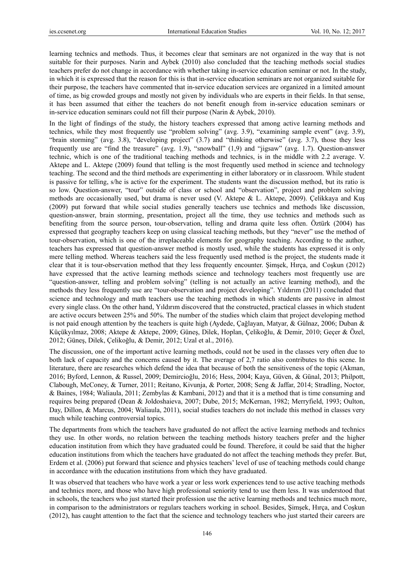learning technics and methods. Thus, it becomes clear that seminars are not organized in the way that is not suitable for their purposes. Narin and Aybek (2010) also concluded that the teaching methods social studies teachers prefer do not change in accordance with whether taking in-service education seminar or not. In the study, in which it is expressed that the reason for this is that in-service education seminars are not organized suitable for their purpose, the teachers have commented that in-service education services are organized in a limited amount of time, as big crowded groups and mostly not given by individuals who are experts in their fields. In that sense, it has been assumed that either the teachers do not benefit enough from in-service education seminars or in-service education seminars could not fill their purpose (Narin & Aybek, 2010).

In the light of findings of the study, the history teachers expressed that among active learning methods and technics, while they most frequently use "problem solving" (avg. 3.9), "examining sample event" (avg. 3.9), "brain storming" (avg. 3.8), "developing project" (3.7) and "thinking otherwise" (avg. 3.7), those they less frequently use are "find the treasure" (avg. 1.9), "snowball" (1,9) and "jigsaw" (avg. 1.7). Question-answer technic, which is one of the traditional teaching methods and technics, is in the middle with 2.2 average. V. Aktepe and L. Aktepe (2009) found that telling is the most frequently used method in science and technology teaching. The second and the third methods are experimenting in either laboratory or in classroom. While student is passive for telling, s/he is active for the experiment. The students want the discussion method, but its ratio is so low. Question-answer, "tour" outside of class or school and "observation", project and problem solving methods are occasionally used, but drama is never used (V. Aktepe & L. Aktepe, 2009). Çelikkaya and Kuş (2009) put forward that while social studies generally teachers use technics and methods like discussion, question-answer, brain storming, presentation, project all the time, they use technics and methods such as benefiting from the source person, tour-observation, telling and drama quite less often. Öztürk (2004) has expressed that geography teachers keep on using classical teaching methods, but they "never" use the method of tour-observation, which is one of the irreplaceable elements for geography teaching. According to the author, teachers has expressed that question-answer method is mostly used, while the students has expressed it is only mere telling method. Whereas teachers said the less frequently used method is the project, the students made it clear that it is tour-observation method that they less frequently encounter. Şimşek, Hırça, and Coşkun (2012) have expressed that the active learning methods science and technology teachers most frequently use are "question-answer, telling and problem solving" (telling is not actually an active learning method), and the methods they less frequently use are "tour-observation and project developing". Yıldırım (2011) concluded that science and technology and math teachers use the teaching methods in which students are passive in almost every single class. On the other hand, Yıldırım discovered that the constructed, practical classes in which student are active occurs between 25% and 50%. The number of the studies which claim that project developing method is not paid enough attention by the teachers is quite high (Aydede, Çağlayan, Matyar, & Gülnaz, 2006; Duban & Küçükyılmaz, 2008; Aktepe & Aktepe, 2009; Güneş, Dilek, Hoplan, Çelikoğlu, & Demir, 2010; Geçer & Özel, 2012; Güneş, Dilek, Çelikoğlu, & Demir, 2012; Uzal et al., 2016).

The discussion, one of the important active learning methods, could not be used in the classes very often due to both lack of capacity and the concerns caused by it. The average of 2,7 ratio also contributes to this scene. In literature, there are researches which defend the idea that because of both the sensitiveness of the topic (Akman, 2016; Byford, Lennon, & Russel, 2009; Demircioğlu, 2016; Hess, 2004; Kaya, Güven, & Günal, 2013; Philpott, Clabough, McConey, & Turner, 2011; Reitano, Kivunja, & Porter, 2008; Seng & Jaffar, 2014; Stradling, Noctor, & Baines, 1984; Waliaula, 2011; Zembylas & Kambani, 2012) and that it is a method that is time consuming and requires being prepared (Dean & Joldoshaieva, 2007; Dube, 2015; McKernan, 1982; Merryfield, 1993; Oulton, Day, Dillon, & Marcus, 2004; Waliaula, 2011), social studies teachers do not include this method in classes very much while teaching controversial topics.

The departments from which the teachers have graduated do not affect the active learning methods and technics they use. In other words, no relation between the teaching methods history teachers prefer and the higher education institution from which they have graduated could be found. Therefore, it could be said that the higher education institutions from which the teachers have graduated do not affect the teaching methods they prefer. But, Erdem et al. (2006) put forward that science and physics teachers' level of use of teaching methods could change in accordance with the education institutions from which they have graduated.

It was observed that teachers who have work a year or less work experiences tend to use active teaching methods and technics more, and those who have high professional seniority tend to use them less. It was understood that in schools, the teachers who just started their profession use the active learning methods and technics much more, in comparison to the administrators or regulars teachers working in school. Besides, Şimşek, Hırça, and Coşkun (2012), has caught attention to the fact that the science and technology teachers who just started their careers are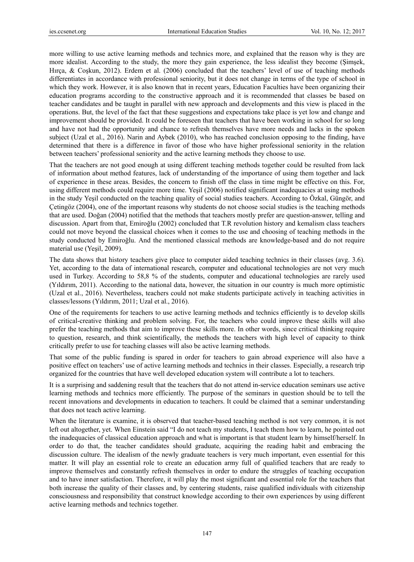more willing to use active learning methods and technics more, and explained that the reason why is they are more idealist. According to the study, the more they gain experience, the less idealist they become (Şimşek, Hırça, & Coşkun, 2012). Erdem et al. (2006) concluded that the teachers' level of use of teaching methods differentiates in accordance with professional seniority, but it does not change in terms of the type of school in which they work. However, it is also known that in recent years, Education Faculties have been organizing their education programs according to the constructive approach and it is recommended that classes be based on teacher candidates and be taught in parallel with new approach and developments and this view is placed in the operations. But, the level of the fact that these suggestions and expectations take place is yet low and change and improvement should be provided. It could be foreseen that teachers that have been working in school for so long and have not had the opportunity and chance to refresh themselves have more needs and lacks in the spoken subject (Uzal et al., 2016). Narin and Aybek (2010), who has reached conclusion opposing to the finding, have determined that there is a difference in favor of those who have higher professional seniority in the relation between teachers' professional seniority and the active learning methods they choose to use.

That the teachers are not good enough at using different teaching methods together could be resulted from lack of information about method features, lack of understanding of the importance of using them together and lack of experience in these areas. Besides, the concern to finish off the class in time might be effective on this. For, using different methods could require more time. Yeşil (2006) notified significant inadequacies at using methods in the study Yeşil conducted on the teaching quality of social studies teachers. According to Özkal, Güngör, and Çetingöz (2004), one of the important reasons why students do not choose social studies is the teaching methods that are used. Doğan (2004) notified that the methods that teachers mostly prefer are question-answer, telling and discussion. Apart from that, Emiroğlu (2002) concluded that T.R revolution history and kemalism class teachers could not move beyond the classical choices when it comes to the use and choosing of teaching methods in the study conducted by Emiroğlu. And the mentioned classical methods are knowledge-based and do not require material use (Yeşil, 2009).

The data shows that history teachers give place to computer aided teaching technics in their classes (avg. 3.6). Yet, according to the data of international research, computer and educational technologies are not very much used in Turkey. According to 58,8 % of the students, computer and educational technologies are rarely used (Yıldırım, 2011). According to the national data, however, the situation in our country is much more optimistic (Uzal et al., 2016). Nevertheless, teachers could not make students participate actively in teaching activities in classes/lessons (Yıldırım, 2011; Uzal et al., 2016).

One of the requirements for teachers to use active learning methods and technics efficiently is to develop skills of critical-creative thinking and problem solving. For, the teachers who could improve these skills will also prefer the teaching methods that aim to improve these skills more. In other words, since critical thinking require to question, research, and think scientifically, the methods the teachers with high level of capacity to think critically prefer to use for teaching classes will also be active learning methods.

That some of the public funding is spared in order for teachers to gain abroad experience will also have a positive effect on teachers' use of active learning methods and technics in their classes. Especially, a research trip organized for the countries that have well developed education system will contribute a lot to teachers.

It is a surprising and saddening result that the teachers that do not attend in-service education seminars use active learning methods and technics more efficiently. The purpose of the seminars in question should be to tell the recent innovations and developments in education to teachers. It could be claimed that a seminar understanding that does not teach active learning.

When the literature is examine, it is observed that teacher-based teaching method is not very common, it is not left out altogether, yet. When Einstein said "I do not teach my students, I teach them how to learn, he pointed out the inadequacies of classical education approach and what is important is that student learn by himself/herself. In order to do that, the teacher candidates should graduate, acquiring the reading habit and embracing the discussion culture. The idealism of the newly graduate teachers is very much important, even essential for this matter. It will play an essential role to create an education army full of qualified teachers that are ready to improve themselves and constantly refresh themselves in order to endure the struggles of teaching occupation and to have inner satisfaction. Therefore, it will play the most significant and essential role for the teachers that both increase the quality of their classes and, by centering students, raise qualified individuals with citizenship consciousness and responsibility that construct knowledge according to their own experiences by using different active learning methods and technics together.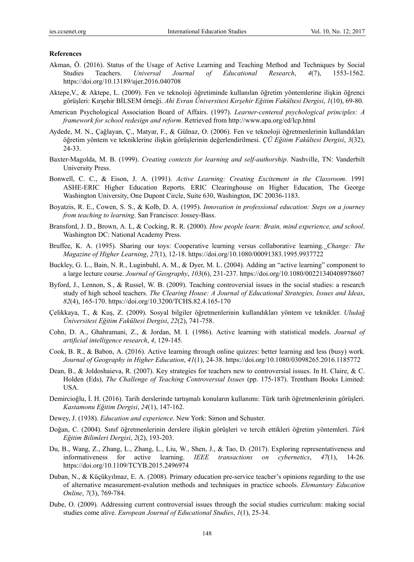### **References**

- Akman, Ö. (2016). Status of the Usage of Active Learning and Teaching Method and Techniques by Social Studies Teachers. *Universal Journal of Educational Research*, *4*(7), 1553-1562. https://doi.org/10.13189/ujer.2016.040708
- Aktepe,V., & Aktepe, L. (2009). Fen ve teknoloji öğretiminde kullanılan öğretim yöntemlerine ilişkin öğrenci görüşleri: Kırşehir BİLSEM örneği. *Ahi Evran Üniversitesi Kırşehir Eğitim Fakültesi Dergisi*, *1*(10), 69-80.
- American Psychological Association Board of Affairs. (1997). *Learner-centered psychological principles: A framework for school redesign and reform*. Retrieved from http://www.apa.org/ed/lcp.html
- Aydede, M. N., Çağlayan, Ç., Matyar, F., & Gülnaz, O. (2006). Fen ve teknoloji öğretmenlerinin kullandıkları öğretim yöntem ve tekniklerine ilişkin görüşlerinin değerlendirilmesi. *ÇÜ Eğitim Fakültesi Dergisi*, *3*(32), 24-33.
- Baxter-Magolda, M. B. (1999). *Creating contexts for learning and self-authorship*. Nashville, TN: Vanderbilt University Press.
- Bonwell, C. C., & Eison, J. A. (1991). *Active Learning: Creating Excitement in the Classroom*. 1991 ASHE-ERIC Higher Education Reports. ERIC Clearinghouse on Higher Education, The George Washington University, One Dupont Circle, Suite 630, Washington, DC 20036-1183.
- Boyatzis, R. E., Cowen, S. S., & Kolb, D. A. (1995). *Innovation in professional education: Steps on a journey from teaching to learning*. San Francisco: Jossey-Bass.
- Bransford, J. D., Brown, A. L, & Cocking, R. R. (2000). *How people learn: Brain, mind experience, and school*. Washington DC: National Academy Press.
- Bruffee, K. A. (1995). Sharing our toys: Cooperative learning versus collaborative learning. *Change: The Magazine of Higher Learning*, *27*(1), 12-18. https://doi.org/10.1080/00091383.1995.9937722
- Buckley, G. L., Bain, N. R., Luginbuhl, A. M., & Dyer, M. L. (2004). Adding an "active learning" component to a large lecture course. *Journal of Geography*, *103*(6), 231-237. https://doi.org/10.1080/00221340408978607
- Byford, J., Lennon, S., & Russel, W. B. (2009). Teaching controversial issues in the social studies: a research study of high school teachers. *The Clearing House: A Journal of Educational Strategies, Issues and Ideas*, *82*(4), 165-170. https://doi.org/10.3200/TCHS.82.4.165-170
- Çelikkaya, T., & Kuş, Z. (2009). Sosyal bilgiler öğretmenlerinin kullandıkları yöntem ve teknikler. *Uludağ Üniversitesi Eğitim Fakültesi Dergisi*, *22*(2), 741-758.
- Cohn, D. A., Ghahramani, Z., & Jordan, M. I. (1986). Active learning with statistical models. *Journal of artificial intelligence research*, *4*, 129-145.
- Cook, B. R., & Babon, A. (2016). Active learning through online quizzes: better learning and less (busy) work. *Journal of Geography in Higher Education*, *41*(1), 24-38. https://doi.org/10.1080/03098265.2016.1185772
- Dean, B., & Joldoshaieva, R. (2007). Key strategies for teachers new to controversial issues. In H. Claire, & C. Holden (Eds), *The Challenge of Teaching Controversial Issues* (pp. 175-187). Trentham Books Limited: USA.
- Demircioğlu, İ. H. (2016). Tarih derslerinde tartışmalı konuların kullanımı: Türk tarih öğretmenlerinin görüşleri. *Kastamonu Eğitim Dergisi*, *24*(1), 147-162.
- Dewey, J. (1938). *Education and experience*. New York: Simon and Schuster.
- Doğan, C. (2004). Sınıf öğretmenlerinin derslere ilişkin görüşleri ve tercih ettikleri öğretim yöntemleri. *Türk Eğitim Bilimleri Dergisi*, *2*(2), 193-203.
- Du, B., Wang, Z., Zhang, L., Zhang, L., Liu, W., Shen, J., & Tao, D. (2017). Exploring representativeness and informativeness for active learning. *IEEE transactions on cybernetics*, *47*(1), 14-26. https://doi.org/10.1109/TCYB.2015.2496974
- Duban, N., & Küçükyılmaz, E. A. (2008). Primary education pre-service teacher's opinions regarding to the use of alternative measurement-evalution methods and techniques in practice schools. *Elemantary Education Online*, *7*(3), 769-784.
- Dube, O. (2009). Addressing current controversial issues through the social studies curriculum: making social studies come alive. *European Journal of Educational Studies*, *1*(1), 25-34.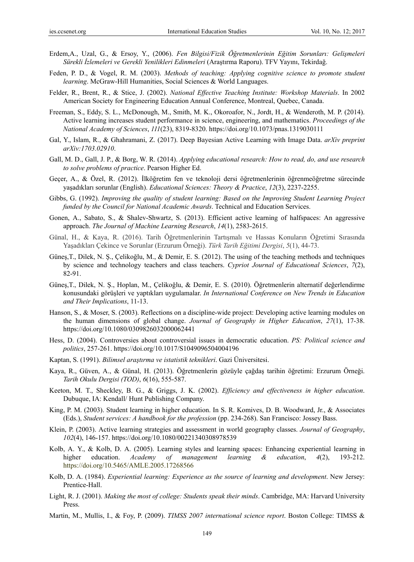- Erdem,A., Uzal, G., & Ersoy, Y., (2006). *Fen Bilgisi/Fizik Öğretmenlerinin Eğitim Sorunları: Gelişmeleri Sürekli İzlemeleri ve Gerekli Yenilikleri Edinmeleri* (Araştırma Raporu). TFV Yayını, Tekirdağ.
- Feden, P. D., & Vogel, R. M. (2003). *Methods of teaching: Applying cognitive science to promote student learning*. McGraw-Hill Humanities, Social Sciences & World Languages.
- Felder, R., Brent, R., & Stice, J. (2002). *National Effective Teaching Institute: Workshop Materials*. In 2002 American Society for Engineering Education Annual Conference, Montreal, Quebec, Canada.
- Freeman, S., Eddy, S. L., McDonough, M., Smith, M. K., Okoroafor, N., Jordt, H., & Wenderoth, M. P. (2014). Active learning increases student performance in science, engineering, and mathematics. *Proceedings of the National Academy of Sciences*, *111*(23), 8319-8320. https://doi.org/10.1073/pnas.1319030111
- Gal, Y., Islam, R., & Ghahramani, Z. (2017). Deep Bayesian Active Learning with Image Data. *arXiv preprint arXiv:1703.02910*.
- Gall, M. D., Gall, J. P., & Borg, W. R. (2014). *Applying educational research: How to read, do, and use research to solve problems of practice*. Pearson Higher Ed.
- Geçer, A., & Özel, R. (2012). İlköğretim fen ve teknoloji dersi öğretmenlerinin öğrenmeöğretme sürecinde yaşadıkları sorunlar (English). *Educational Sciences: Theory & Practice*, *12*(3), 2237-2255.
- Gibbs, G. (1992). *Improving the quality of student learning: Based on the Improving Student Learning Project funded by the Council for National Academic Awards*. Technical and Education Services.
- Gonen, A., Sabato, S., & Shalev-Shwartz, S. (2013). Efficient active learning of halfspaces: An aggressive approach. *The Journal of Machine Learning Research*, *14*(1), 2583-2615.
- Günal, H., & Kaya, R. (2016). Tarih Öğretmenlerinin Tartışmalı ve Hassas Konuların Öğretimi Sırasında Yaşadıkları Çekince ve Sorunlar (Erzurum Örneği). *Türk Tarih Eğitimi Dergisi*, *5*(1), 44-73.
- Güneş,T., Dilek, N. Ş., Çelikoğlu, M., & Demir, E. S. (2012). The using of the teaching methods and techniques by science and technology teachers and class teachers. *Cypriot Journal of Educational Sciences*, *7*(2), 82-91.
- Güneş,T., Dilek, N. Ş., Hoplan, M., Çelikoğlu, & Demir, E. S. (2010). Öğretmenlerin alternatif değerlendirme konusundaki görüşleri ve yaptıkları uygulamalar. *In International Conference on New Trends in Education and Their Implications*, 11-13.
- Hanson, S., & Moser, S. (2003). Reflections on a discipline-wide project: Developing active learning modules on the human dimensions of global change. *Journal of Geography in Higher Education*, *27*(1), 17-38. https://doi.org/10.1080/0309826032000062441
- Hess, D. (2004). Controversies about controversial issues in democratic education. *PS: Political science and politics*, 257-261. https://doi.org/10.1017/S1049096504004196
- Kaptan, S. (1991). *Bilimsel araştırma ve istatistik teknikleri*. Gazi Üniversitesi.
- Kaya, R., Güven, A., & Günal, H. (2013). Öğretmenlerin gözüyle çağdaş tarihin öğretimi: Erzurum Örneği. *Tarih Okulu Dergisi (TOD)*, *6*(16), 555-587.
- Keeton, M. T., Sheckley, B. G., & Griggs, J. K. (2002). *Efficiency and effectiveness in higher education*. Dubuque, IA: Kendall/ Hunt Publishing Company.
- King, P. M. (2003). Student learning in higher education. In S. R. Komives, D. B. Woodward, Jr., & Associates (Eds.), *Student services: A handbook for the profession* (pp. 234-268). San Francisco: Jossey Bass.
- Klein, P. (2003). Active learning strategies and assessment in world geography classes. *Journal of Geography*, *102*(4), 146-157. https://doi.org/10.1080/00221340308978539
- Kolb, A. Y., & Kolb, D. A. (2005). Learning styles and learning spaces: Enhancing experiential learning in higher education. *Academy of management learning & education*, *4*(2), 193-212. https://doi.org/10.5465/AMLE.2005.17268566
- Kolb, D. A. (1984). *Experiential learning: Experience as the source of learning and development*. New Jersey: Prentice-Hall.
- Light, R. J. (2001). *Making the most of college: Students speak their minds*. Cambridge, MA: Harvard University Press.
- Martin, M., Mullis, I., & Foy, P. (2009). *TIMSS 2007 international science report*. Boston College: TIMSS &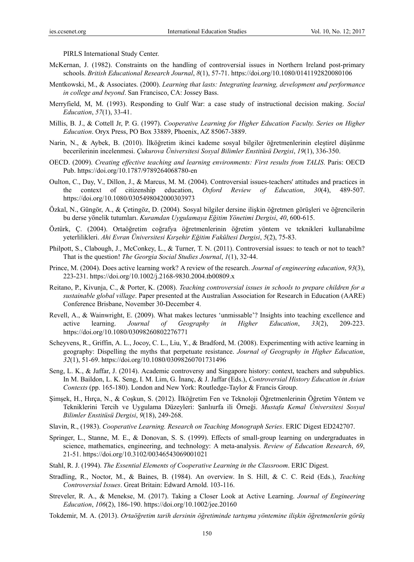PIRLS International Study Center.

- McKernan, J. (1982). Constraints on the handling of controversial issues in Northern Ireland post-primary schools. *British Educational Research Journal*, *8*(1), 57-71. https://doi.org/10.1080/0141192820080106
- Mentkowski, M., & Associates. (2000). *Learning that lasts: Integrating learning, development and performance in college and beyond*. San Francisco, CA: Jossey Bass.
- Merryfield, M, M. (1993). Responding to Gulf War: a case study of instructional decision making. *Social Education*, *57*(1), 33-41.
- Millis, B. J., & Cottell Jr, P. G. (1997). *Cooperative Learning for Higher Education Faculty. Series on Higher Education*. Oryx Press, PO Box 33889, Phoenix, AZ 85067-3889.
- Narin, N., & Aybek, B. (2010). İlköğretim ikinci kademe sosyal bilgiler öğretmenlerinin eleştirel düşünme becerilerinin incelenmesi. *Çukurova Üniversitesi Sosyal Bilimler Enstitüsü Dergisi*, *19*(1), 336-350.
- OECD. (2009). *Creating effective teaching and learning environments: First results from TALIS*. Paris: OECD Pub. https://doi.org/10.1787/9789264068780-en
- Oulton, C., Day, V., Dillon, J., & Marcus, M. M. (2004). Controversial issues-teachers' attitudes and practices in the context of citizenship education, *Oxford Review of Education*, *30*(4), 489-507. https://doi.org/10.1080/0305498042000303973
- Özkal, N., Güngör, A., & Çetingöz, D. (2004). Sosyal bilgiler dersine ilişkin öğretmen görüşleri ve öğrencilerin bu derse yönelik tutumları. *Kuramdan Uygulamaya Eğitim Yönetimi Dergisi*, *40*, 600-615.
- Öztürk, Ç. (2004). Ortaöğretim coğrafya öğretmenlerinin öğretim yöntem ve teknikleri kullanabilme yeterlilikleri. *Ahi Evran Üniversitesi Kırşehir Eğitim Fakültesi Dergisi*, *5*(2), 75-83.
- Philpott, S., Clabough, J., McConkey, L., & Turner, T. N. (2011). Controversial issues: to teach or not to teach? That is the question! *The Georgia Social Studies Journal*, *1*(1), 32‐44.
- Prince, M. (2004). Does active learning work? A review of the research. *Journal of engineering education*, *93*(3), 223-231. https://doi.org/10.1002/j.2168-9830.2004.tb00809.x
- Reitano, P., Kivunja, C., & Porter, K. (2008). *Teaching controversial issues in schools to prepare children for a sustainable global village*. Paper presented at the Australian Association for Research in Education (AARE) Conference Brisbane, November 30-December 4.
- Revell, A., & Wainwright, E. (2009). What makes lectures 'unmissable'? Insights into teaching excellence and active learning. *Journal of Geography in Higher Education*, *33*(2), 209-223. https://doi.org/10.1080/03098260802276771
- Scheyvens, R., Griffin, A. L., Jocoy, C. L., Liu, Y., & Bradford, M. (2008). Experimenting with active learning in geography: Dispelling the myths that perpetuate resistance. *Journal of Geography in Higher Education*, *32*(1), 51-69. https://doi.org/10.1080/03098260701731496
- Seng, L. K., & Jaffar, J. (2014). Academic controversy and Singapore history: context, teachers and subpublics. In M. Baildon, L. K. Seng, I. M. Lim, G. İnanç, & J. Jaffar (Eds.), *Controversial History Education in Asian Contexts* (pp. 165-180). London and New York: Routledge-Taylor & Francis Group.
- Şimşek, H., Hırça, N., & Coşkun, S. (2012). İlköğretim Fen ve Teknoloji Öğretmenlerinin Öğretim Yöntem ve Tekniklerini Tercih ve Uygulama Düzeyleri: Şanlıurfa ili Örneği. *Mustafa Kemal Üniversitesi Sosyal Bilimler Enstitüsü Dergisi*, *9*(18), 249-268.
- Slavin, R., (1983). *Cooperative Learning. Research on Teaching Monograph Series*. ERIC Digest ED242707.
- Springer, L., Stanne, M. E., & Donovan, S. S. (1999). Effects of small-group learning on undergraduates in science, mathematics, engineering, and technology: A meta-analysis. *Review of Education Research*, *69*, 21-51. https://doi.org/10.3102/00346543069001021
- Stahl, R. J. (1994). *The Essential Elements of Cooperative Learning in the Classroom*. ERIC Digest.
- Stradling, R., Noctor, M., & Baines, B. (1984). An overview. In S. Hill, & C. C. Reid (Eds.), *Teaching Controversial Issues*. Great Britain: Edward Arnold. 103-116.
- Streveler, R. A., & Menekse, M. (2017). Taking a Closer Look at Active Learning. *Journal of Engineering Education*, *106*(2), 186-190. https://doi.org/10.1002/jee.20160
- Tokdemir, M. A. (2013). *Ortaöğretim tarih dersinin öğretiminde tartışma yöntemine ilişkin öğretmenlerin görüş*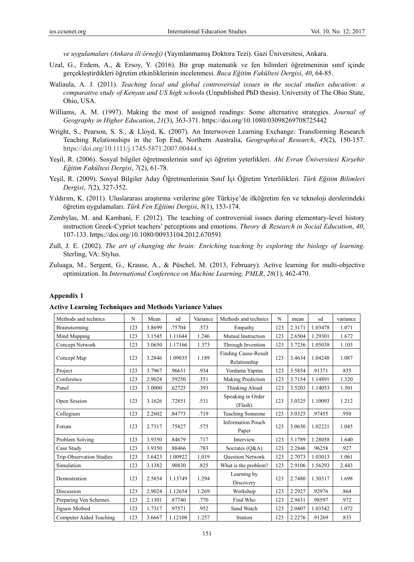*ve uygulamaları (Ankara ili örneği)* (Yayınlanmamış Doktora Tezi). Gazi Üniversitesi, Ankara.

- Uzal, G., Erdem, A., & Ersoy, Y. (2016). Bir grup matematik ve fen bilimleri öğretmeninin sınıf içinde gerçekleştirdikleri öğretim etkinliklerinin incelenmesi. *Buca Eğitim Fakültesi Dergisi*, *40*, 64-85.
- Waliaula, A. J. (2011). *Teaching local and global controversial issues in the social studies education: a comparative study of Kenyan and US high schoo*ls (Unpublished PhD thesis). University of The Ohio State, Ohio, USA.
- Williams, A. M. (1997). Making the most of assigned readings: Some alternative strategies. *Journal of Geography in Higher Education*, *21*(3), 363-371. https://doi.org/10.1080/03098269708725442
- Wright, S., Pearson, S. S., & Lloyd, K. (2007). An Interwoven Learning Exchange: Transforming Research Teaching Relationships in the Top End, Northern Australia, *Geographical Research*, *45*(2), 150-157. https://doi.org/10.1111/j.1745-5871.2007.00444.x
- Yeşil, R. (2006). Sosyal bilgiler öğretmenlerinin sınıf içi öğretim yeterlikleri. *Ahi Evran Üniversitesi Kırşehir Eğitim Fakültesi Dergisi*, *7*(2), 61-78.
- Yeşil, R. (2009). Sosyal Bilgiler Aday Öğretmenlerinin Sınıf İçi Öğretim Yeterlilikleri. *Türk Eğitim Bilimleri Dergisi*, *7*(2), 327-352.
- Yıldırım, K. (2011). Uluslararası araştırma verilerine göre Türkiye'de ilköğretim fen ve teknoloji derslerindeki öğretim uygulamaları. *Türk Fen Eğitimi Dergisi*, *8*(1), 153-174.
- Zembylas, M. and Kambani, F. (2012). The teaching of controversial issues during elementary-level history instruction Greek-Cypriot teachers' perceptions and emotions. *Theory & Research in Social Education*, *40*, 107-133. https://doi.org/10.1080/00933104.2012.670591
- Zull, J. E. (2002). *The art of changing the brain: Enriching teaching by exploring the biology of learning*. Sterling, VA: Stylus.
- Zuluaga, M., Sergent, G., Krause, A., & Püschel, M. (2013, February). Active learning for multi-objective optimization. In *International Conference on Machine Learning, PMLR*, *28*(1), 462-470.

| Methods and technics     | N   | Mean   | sd      | Variance | Methods and technics                        | N   | mean   | sd      | variance |
|--------------------------|-----|--------|---------|----------|---------------------------------------------|-----|--------|---------|----------|
| <b>Brainstorming</b>     | 123 | 3.8699 | .75704  | .573     | Empathy                                     | 123 | 2.3171 | 1.03478 | 1.071    |
| Mind Mapping             | 123 | 3.1545 | 1.11644 | 1.246    | Mutual Instruction                          | 123 | 2.6504 | 1.29301 | 1.672    |
| Concept Network          | 123 | 3.0650 | 1.17166 | 1.373    | Through Invention                           | 123 | 3.7236 | 1.05038 | 1.103    |
| Concept Map              | 123 | 3.2846 | 1.09035 | 1.189    | <b>Finding Cause-Result</b><br>Relationship | 123 | 3.4634 | 1.04248 | 1.087    |
| Project                  | 123 | 3.7967 | .96631  | .934     | Yordama Yapma                               | 123 | 3.5854 | .91371  | .835     |
| Conference               | 123 | 2.9024 | .59250  | .351     | Making Prediction                           | 123 | 3.7154 | 1.14891 | 1.320    |
| Panel                    | 123 | 3.0000 | .62725  | .393     | Thinking Aloud                              | 123 | 3.5203 | 1.14053 | 1.301    |
| Open Session             | 123 | 3.1626 | .72851  | .531     | Speaking in Order<br>(Flash)                | 123 | 3.0325 | 1.10093 | 1.212    |
| Collegium                | 123 | 2.2602 | .84773  | .719     | Teaching Someone                            | 123 | 3.0325 | .97455  | .950     |
| Forum                    | 123 | 2.7317 | .75827  | .575     | <b>Information Pouch</b><br>Paper           | 123 | 3.0650 | 1.02221 | 1.045    |
| Problem Solving          | 123 | 3.9350 | .84679  | .717     | Interview                                   | 123 | 3.1789 | 1.28058 | 1.640    |
| Case Study               | 123 | 3.9350 | .88466  | .783     | Socrates $(Q&A)$                            | 123 | 2.2846 | .96258  | .927     |
| Trip-Observation Studies | 123 | 3.6423 | 1.00922 | 1.019    | <b>Ouestion Network</b>                     | 123 | 2.7073 | 1.03013 | 1.061    |
| Simulation               | 123 | 3.1382 | .90830  | .825     | What is the problem?                        | 123 | 2.9106 | 1.56293 | 2.443    |
| Demostration             | 123 | 2.5854 | 1.13749 | 1.294    | Learning by<br>Discovery                    | 123 | 2.7480 | 1.30317 | 1.698    |
| Discussion               | 123 | 2.9024 | 1.12654 | 1.269    | Workshop                                    | 123 | 2.2927 | .92976  | .864     |
| Preparing Ven Schemes    | 123 | 2.1301 | .87740  | .770     | Find Who                                    | 123 | 2.9431 | .98597  | .972     |
| Jigsaw Method            | 123 | 1.7317 | .97571  | .952     | Sand Watch                                  | 123 | 2.0407 | 1.03542 | 1.072    |
| Computer Aided Teaching  | 123 | 3.6667 | 1.12108 | 1.257    | Station                                     | 123 | 2.2276 | .91269  | .833     |

## **Appendix 1**

| <b>Active Learning Techniques and Methods Variance Values</b> |
|---------------------------------------------------------------|
|---------------------------------------------------------------|